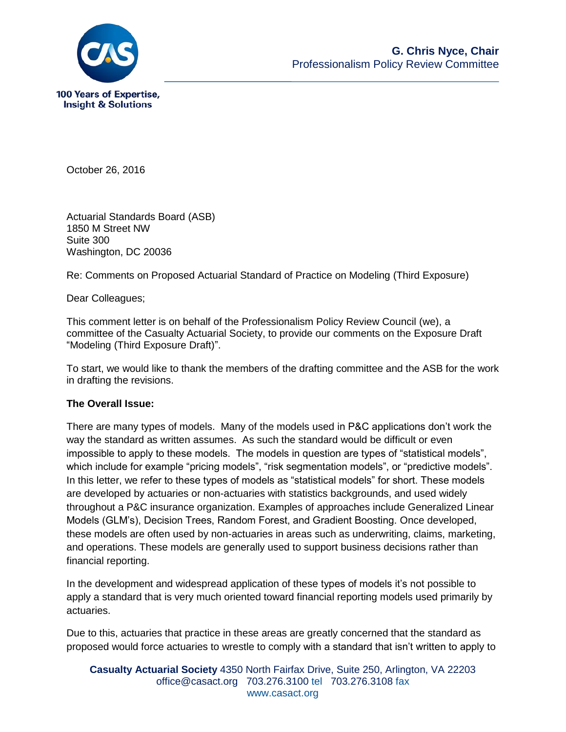

October 26, 2016

Actuarial Standards Board (ASB) 1850 M Street NW Suite 300 Washington, DC 20036

Re: Comments on Proposed Actuarial Standard of Practice on Modeling (Third Exposure)

Dear Colleagues;

This comment letter is on behalf of the Professionalism Policy Review Council (we), a committee of the Casualty Actuarial Society, to provide our comments on the Exposure Draft "Modeling (Third Exposure Draft)".

To start, we would like to thank the members of the drafting committee and the ASB for the work in drafting the revisions.

## **The Overall Issue:**

There are many types of models. Many of the models used in P&C applications don't work the way the standard as written assumes. As such the standard would be difficult or even impossible to apply to these models. The models in question are types of "statistical models", which include for example "pricing models", "risk segmentation models", or "predictive models". In this letter, we refer to these types of models as "statistical models" for short. These models are developed by actuaries or non-actuaries with statistics backgrounds, and used widely throughout a P&C insurance organization. Examples of approaches include Generalized Linear Models (GLM's), Decision Trees, Random Forest, and Gradient Boosting. Once developed, these models are often used by non-actuaries in areas such as underwriting, claims, marketing, and operations. These models are generally used to support business decisions rather than financial reporting.

In the development and widespread application of these types of models it's not possible to apply a standard that is very much oriented toward financial reporting models used primarily by actuaries.

Due to this, actuaries that practice in these areas are greatly concerned that the standard as proposed would force actuaries to wrestle to comply with a standard that isn't written to apply to

**Casualty Actuarial Society** 4350 North Fairfax Drive, Suite 250, Arlington, VA 22203 office@casact.org 703.276.3100 tel 703.276.3108 fax www.casact.org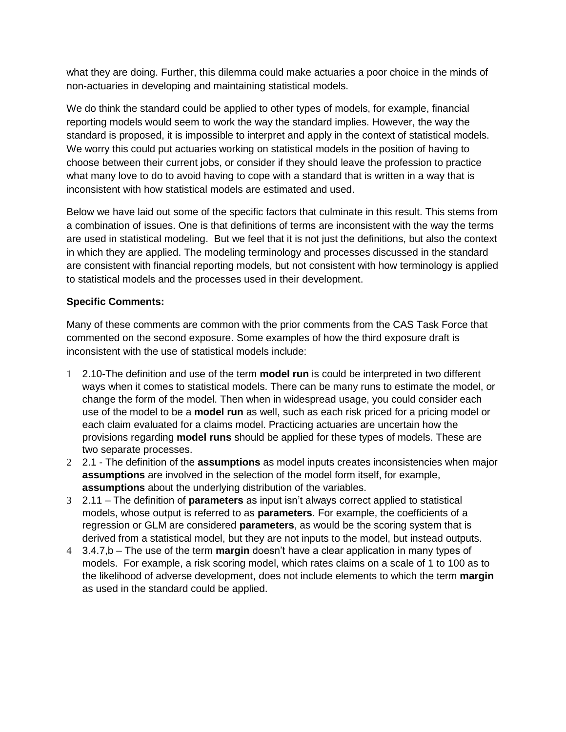what they are doing. Further, this dilemma could make actuaries a poor choice in the minds of non-actuaries in developing and maintaining statistical models.

We do think the standard could be applied to other types of models, for example, financial reporting models would seem to work the way the standard implies. However, the way the standard is proposed, it is impossible to interpret and apply in the context of statistical models. We worry this could put actuaries working on statistical models in the position of having to choose between their current jobs, or consider if they should leave the profession to practice what many love to do to avoid having to cope with a standard that is written in a way that is inconsistent with how statistical models are estimated and used.

Below we have laid out some of the specific factors that culminate in this result. This stems from a combination of issues. One is that definitions of terms are inconsistent with the way the terms are used in statistical modeling. But we feel that it is not just the definitions, but also the context in which they are applied. The modeling terminology and processes discussed in the standard are consistent with financial reporting models, but not consistent with how terminology is applied to statistical models and the processes used in their development.

## **Specific Comments:**

Many of these comments are common with the prior comments from the CAS Task Force that commented on the second exposure. Some examples of how the third exposure draft is inconsistent with the use of statistical models include:

- 1 2.10-The definition and use of the term **model run** is could be interpreted in two different ways when it comes to statistical models. There can be many runs to estimate the model, or change the form of the model. Then when in widespread usage, you could consider each use of the model to be a **model run** as well, such as each risk priced for a pricing model or each claim evaluated for a claims model. Practicing actuaries are uncertain how the provisions regarding **model runs** should be applied for these types of models. These are two separate processes.
- 2 2.1 The definition of the **assumptions** as model inputs creates inconsistencies when major **assumptions** are involved in the selection of the model form itself, for example, **assumptions** about the underlying distribution of the variables.
- 3 2.11 The definition of **parameters** as input isn't always correct applied to statistical models, whose output is referred to as **parameters**. For example, the coefficients of a regression or GLM are considered **parameters**, as would be the scoring system that is derived from a statistical model, but they are not inputs to the model, but instead outputs.
- 4 3.4.7,b The use of the term **margin** doesn't have a clear application in many types of models. For example, a risk scoring model, which rates claims on a scale of 1 to 100 as to the likelihood of adverse development, does not include elements to which the term **margin** as used in the standard could be applied.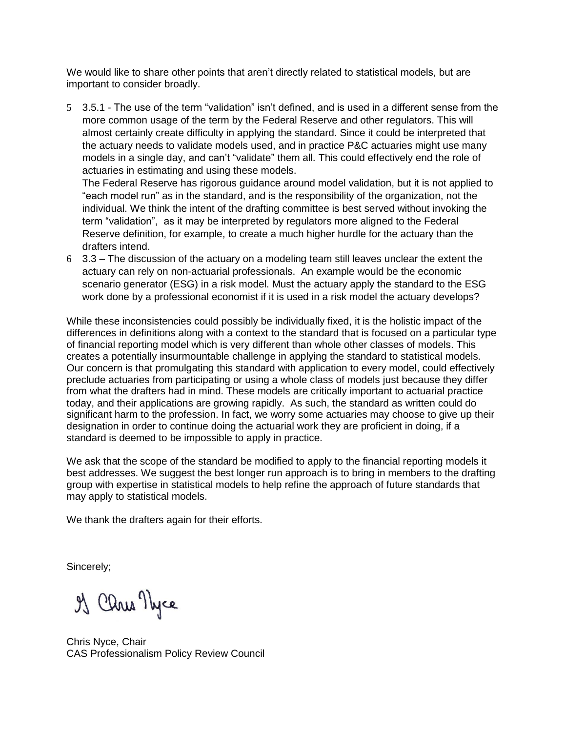We would like to share other points that aren't directly related to statistical models, but are important to consider broadly.

5 3.5.1 - The use of the term "validation" isn't defined, and is used in a different sense from the more common usage of the term by the Federal Reserve and other regulators. This will almost certainly create difficulty in applying the standard. Since it could be interpreted that the actuary needs to validate models used, and in practice P&C actuaries might use many models in a single day, and can't "validate" them all. This could effectively end the role of actuaries in estimating and using these models.

The Federal Reserve has rigorous guidance around model validation, but it is not applied to "each model run" as in the standard, and is the responsibility of the organization, not the individual. We think the intent of the drafting committee is best served without invoking the term "validation", as it may be interpreted by regulators more aligned to the Federal Reserve definition, for example, to create a much higher hurdle for the actuary than the drafters intend.

6 3.3 – The discussion of the actuary on a modeling team still leaves unclear the extent the actuary can rely on non-actuarial professionals. An example would be the economic scenario generator (ESG) in a risk model. Must the actuary apply the standard to the ESG work done by a professional economist if it is used in a risk model the actuary develops?

While these inconsistencies could possibly be individually fixed, it is the holistic impact of the differences in definitions along with a context to the standard that is focused on a particular type of financial reporting model which is very different than whole other classes of models. This creates a potentially insurmountable challenge in applying the standard to statistical models. Our concern is that promulgating this standard with application to every model, could effectively preclude actuaries from participating or using a whole class of models just because they differ from what the drafters had in mind. These models are critically important to actuarial practice today, and their applications are growing rapidly. As such, the standard as written could do significant harm to the profession. In fact, we worry some actuaries may choose to give up their designation in order to continue doing the actuarial work they are proficient in doing, if a standard is deemed to be impossible to apply in practice.

We ask that the scope of the standard be modified to apply to the financial reporting models it best addresses. We suggest the best longer run approach is to bring in members to the drafting group with expertise in statistical models to help refine the approach of future standards that may apply to statistical models.

We thank the drafters again for their efforts.

Sincerely;

of Cars Nyce

Chris Nyce, Chair CAS Professionalism Policy Review Council